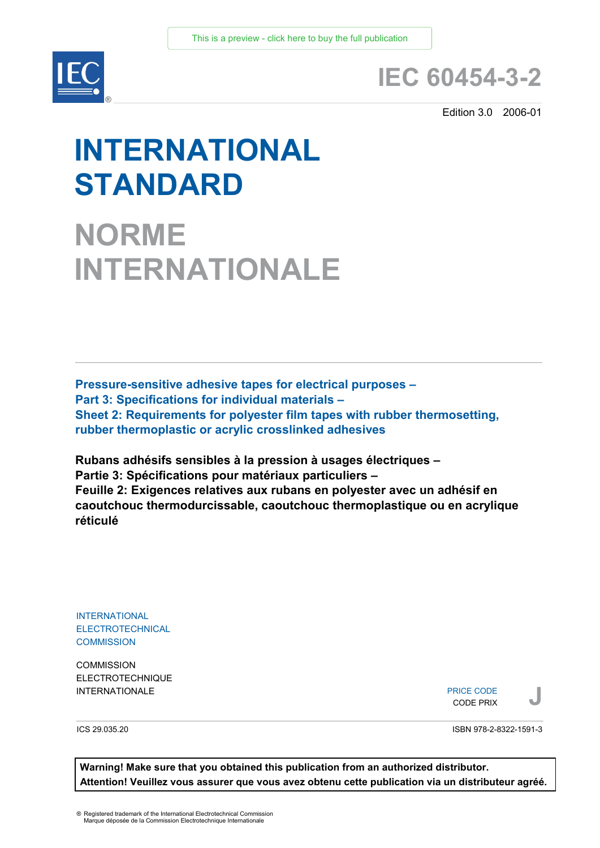

## **IEC 60454-3-2**

Edition 3.0 2006-01

# **INTERNATIONAL STANDARD**

**NORME INTERNATIONALE**

**Pressure-sensitive adhesive tapes for electrical purposes – Part 3: Specifications for individual materials – Sheet 2: Requirements for polyester film tapes with rubber thermosetting, rubber thermoplastic or acrylic crosslinked adhesives**

**Rubans adhésifs sensibles à la pression à usages électriques – Partie 3: Spécifications pour matériaux particuliers – Feuille 2: Exigences relatives aux rubans en polyester avec un adhésif en caoutchouc thermodurcissable, caoutchouc thermoplastique ou en acrylique réticulé**

INTERNATIONAL ELECTROTECHNICAL **COMMISSION** 

**COMMISSION** ELECTROTECHNIQUE

INTERNATIONALE PRICE CODE PRIX PRICE CODE PRIX PRICE CODE PRIX PRICE CODE PRIX PRICE CODE PRIX PRICE CODE PRIX PRICE CODE PRIX PRICE CODE PRIX PRICE CODE PRIX PRICE CODE PRIX PRICE CODE PRIX PRIX PRICE CODE PRIX PRIX PRIX PRICE CODE CODE PRIX



ICS 29.035.20

ISBN 978-2-8322-1591-3

**Warning! Make sure that you obtained this publication from an authorized distributor. Attention! Veuillez vous assurer que vous avez obtenu cette publication via un distributeur agréé.**

® Registered trademark of the International Electrotechnical Commission Marque déposée de la Commission Electrotechnique Internationale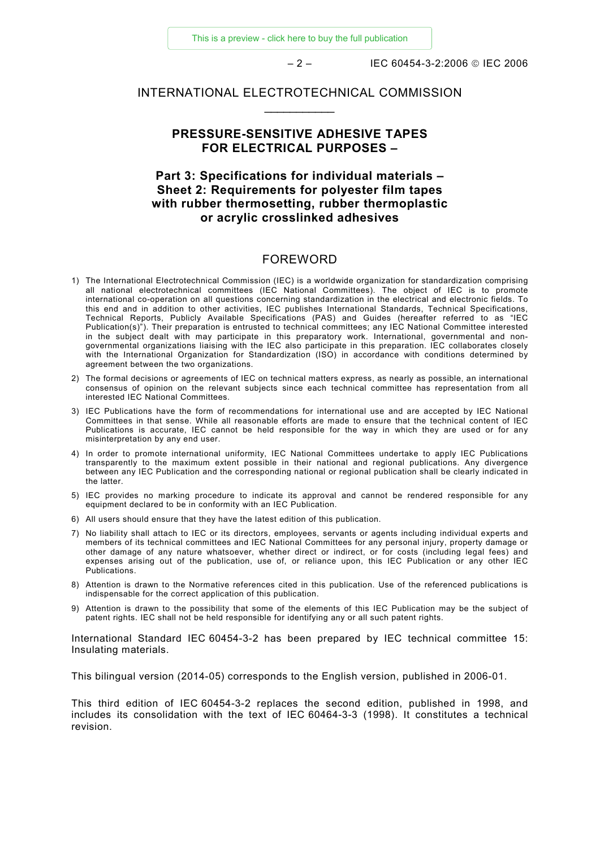[This is a preview - click here to buy the full publication](https://webstore.iec.ch/publication/2173&preview=1)

– 2 – IEC 60454-3-2:2006 IEC 2006

#### INTERNATIONAL ELECTROTECHNICAL COMMISSION *\_\_\_\_\_\_\_\_\_\_\_*

#### **PRESSURE-SENSITIVE ADHESIVE TAPES FOR ELECTRICAL PURPOSES –**

#### **Part 3: Specifications for individual materials – Sheet 2: Requirements for polyester film tapes with rubber thermosetting, rubber thermoplastic or acrylic crosslinked adhesives**

#### FOREWORD

- 1) The International Electrotechnical Commission (IEC) is a worldwide organization for standardization comprising all national electrotechnical committees (IEC National Committees). The object of IEC is to promote international co-operation on all questions concerning standardization in the electrical and electronic fields. To this end and in addition to other activities, IEC publishes International Standards, Technical Specifications, Technical Reports, Publicly Available Specifications (PAS) and Guides (hereafter referred to as "IEC Publication(s)"). Their preparation is entrusted to technical committees; any IEC National Committee interested in the subject dealt with may participate in this preparatory work. International, governmental and nongovernmental organizations liaising with the IEC also participate in this preparation. IEC collaborates closely with the International Organization for Standardization (ISO) in accordance with conditions determined by agreement between the two organizations.
- 2) The formal decisions or agreements of IEC on technical matters express, as nearly as possible, an international consensus of opinion on the relevant subjects since each technical committee has representation from all interested IEC National Committees.
- 3) IEC Publications have the form of recommendations for international use and are accepted by IEC National Committees in that sense. While all reasonable efforts are made to ensure that the technical content of IEC Publications is accurate, IEC cannot be held responsible for the way in which they are used or for any misinterpretation by any end user.
- 4) In order to promote international uniformity, IEC National Committees undertake to apply IEC Publications transparently to the maximum extent possible in their national and regional publications. Any divergence between any IEC Publication and the corresponding national or regional publication shall be clearly indicated in the latter.
- 5) IEC provides no marking procedure to indicate its approval and cannot be rendered responsible for any equipment declared to be in conformity with an IEC Publication.
- 6) All users should ensure that they have the latest edition of this publication.
- 7) No liability shall attach to IEC or its directors, employees, servants or agents including individual experts and members of its technical committees and IEC National Committees for any personal injury, property damage or other damage of any nature whatsoever, whether direct or indirect, or for costs (including legal fees) and expenses arising out of the publication, use of, or reliance upon, this IEC Publication or any other IEC Publications.
- 8) Attention is drawn to the Normative references cited in this publication. Use of the referenced publications is indispensable for the correct application of this publication.
- 9) Attention is drawn to the possibility that some of the elements of this IEC Publication may be the subject of patent rights. IEC shall not be held responsible for identifying any or all such patent rights.

International Standard IEC 60454-3-2 has been prepared by IEC technical committee 15: Insulating materials.

This bilingual version (2014-05) corresponds to the English version, published in 2006-01.

This third edition of IEC 60454-3-2 replaces the second edition, published in 1998, and includes its consolidation with the text of IEC 60464-3-3 (1998). It constitutes a technical revision.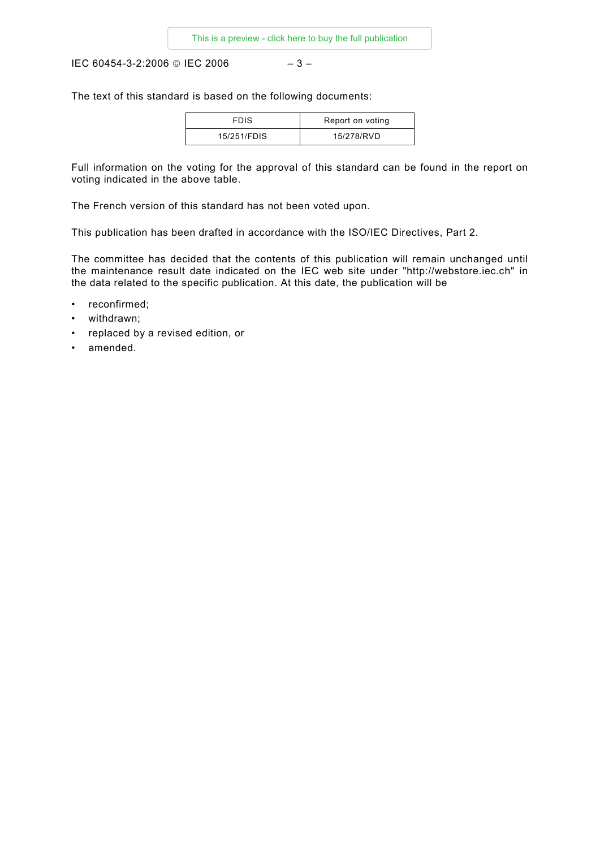IEC 60454-3-2:2006 © IEC 2006 – 3 –

The text of this standard is based on the following documents:

| <b>FDIS</b> | Report on voting |
|-------------|------------------|
| 15/251/FDIS | 15/278/RVD       |

Full information on the voting for the approval of this standard can be found in the report on voting indicated in the above table.

The French version of this standard has not been voted upon.

This publication has been drafted in accordance with the ISO/IEC Directives, Part 2.

The committee has decided that the contents of this publication will remain unchanged until the maintenance result date indicated on the IEC web site under "http://webstore.iec.ch" in the data related to the specific publication. At this date, the publication will be

- reconfirmed;
- withdrawn;
- replaced by a revised edition, or
- amended.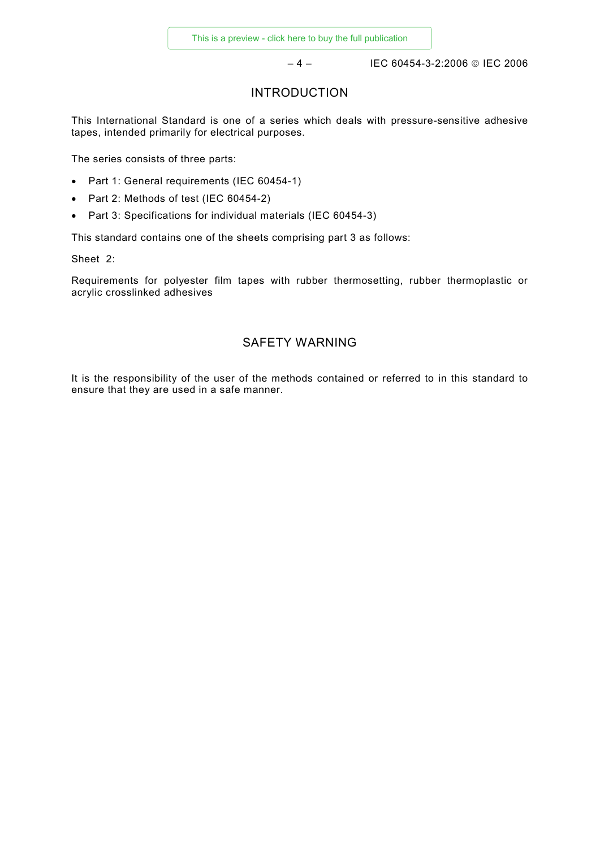– 4 – IEC 60454-3-2:2006 IEC 2006

#### INTRODUCTION

This International Standard is one of a series which deals with pressure-sensitive adhesive tapes, intended primarily for electrical purposes.

The series consists of three parts:

- Part 1: General requirements (IEC 60454-1)
- Part 2: Methods of test (IEC 60454-2)
- Part 3: Specifications for individual materials (IEC 60454-3)

This standard contains one of the sheets comprising part 3 as follows:

Sheet 2:

Requirements for polyester film tapes with rubber thermosetting, rubber thermoplastic or acrylic crosslinked adhesives

#### SAFETY WARNING

It is the responsibility of the user of the methods contained or referred to in this standard to ensure that they are used in a safe manner.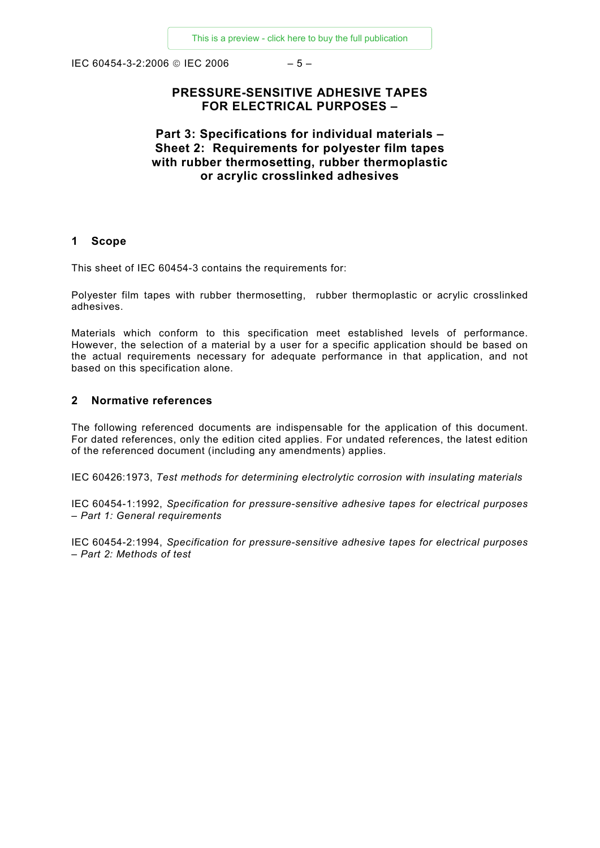IEC 60454-3-2:2006 © IEC 2006 – 5 –

#### **PRESSURE-SENSITIVE ADHESIVE TAPES FOR ELECTRICAL PURPOSES –**

#### **Part 3: Specifications for individual materials – Sheet 2: Requirements for polyester film tapes with rubber thermosetting, rubber thermoplastic or acrylic crosslinked adhesives**

#### **1 Scope**

This sheet of IEC 60454-3 contains the requirements for:

Polyester film tapes with rubber thermosetting, rubber thermoplastic or acrylic crosslinked adhesives.

Materials which conform to this specification meet established levels of performance. However, the selection of a material by a user for a specific application should be based on the actual requirements necessary for adequate performance in that application, and not based on this specification alone.

#### **2 Normative references**

The following referenced documents are indispensable for the application of this document. For dated references, only the edition cited applies. For undated references, the latest edition of the referenced document (including any amendments) applies.

IEC 60426:1973, *Test methods for determining electrolytic corrosion with insulating materials*

IEC 60454-1:1992, *Specification for pressure-sensitive adhesive tapes for electrical purposes – Part 1: General requirements*

IEC 60454-2:1994, *Specification for pressure-sensitive adhesive tapes for electrical purposes – Part 2: Methods of test*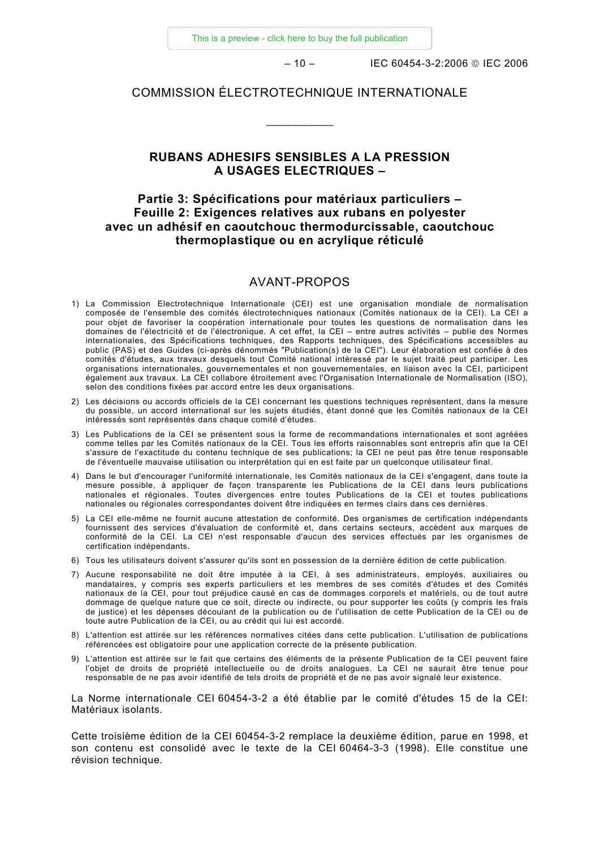[This is a preview - click here to buy the full publication](https://webstore.iec.ch/publication/2173&preview=1)

– 10 – IEC 60454-3-2:2006 IEC 2006

#### COMMISSION ÉLECTROTECHNIQUE INTERNATIONALE

 $\overline{\phantom{a}}$ 

#### **RUBANS ADHESIFS SENSIBLES A LA PRESSION A USAGES ELECTRIQUES –**

#### **Partie 3: Spécifications pour matériaux particuliers – Feuille 2: Exigences relatives aux rubans en polyester avec un adhésif en caoutchouc thermodurcissable, caoutchouc thermoplastique ou en acrylique réticulé**

#### AVANT-PROPOS

- 1) La Commission Electrotechnique Internationale (CEI) est une organisation mondiale de normalisation composée de l'ensemble des comités électrotechniques nationaux (Comités nationaux de la CEI). La CEI a pour objet de favoriser la coopération internationale pour toutes les questions de normalisation dans les domaines de l'électricité et de l'électronique. A cet effet, la CEI – entre autres activités – publie des Normes internationales, des Spécifications techniques, des Rapports techniques, des Spécifications accessibles au public (PAS) et des Guides (ci-après dénommés "Publication(s) de la CEI"). Leur élaboration est confiée à des comités d'études, aux travaux desquels tout Comité national intéressé par le sujet traité peut participer. Les organisations internationales, gouvernementales et non gouvernementales, en liaison avec la CEI, participent également aux travaux. La CEI collabore étroitement avec l'Organisation Internationale de Normalisation (ISO), selon des conditions fixées par accord entre les deux organisations.
- 2) Les décisions ou accords officiels de la CEI concernant les questions techniques représentent, dans la mesure du possible, un accord international sur les sujets étudiés, étant donné que les Comités nationaux de la CEI intéressés sont représentés dans chaque comité d'études.
- 3) Les Publications de la CEI se présentent sous la forme de recommandations internationales et sont agréées comme telles par les Comités nationaux de la CEI. Tous les efforts raisonnables sont entrepris afin que la CEI s'assure de l'exactitude du contenu technique de ses publications; la CEI ne peut pas être tenue responsable de l'éventuelle mauvaise utilisation ou interprétation qui en est faite par un quelconque utilisateur final.
- 4) Dans le but d'encourager l'uniformité internationale, les Comités nationaux de la CEI s'engagent, dans toute la mesure possible, à appliquer de façon transparente les Publications de la CEI dans leurs publications nationales et régionales. Toutes divergences entre toutes Publications de la CEI et toutes publications nationales ou régionales correspondantes doivent être indiquées en termes clairs dans ces dernières.
- 5) La CEI elle-même ne fournit aucune attestation de conformité. Des organismes de certification indépendants fournissent des services d'évaluation de conformité et, dans certains secteurs, accèdent aux marques de conformité de la CEI. La CEI n'est responsable d'aucun des services effectués par les organismes de certification indépendants.
- 6) Tous les utilisateurs doivent s'assurer qu'ils sont en possession de la dernière édition de cette publication.
- 7) Aucune responsabilité ne doit être imputée à la CEI, à ses administrateurs, employés, auxiliaires ou mandataires, y compris ses experts particuliers et les membres de ses comités d'études et des Comités nationaux de la CEI, pour tout préjudice causé en cas de dommages corporels et matériels, ou de tout autre dommage de quelque nature que ce soit, directe ou indirecte, ou pour supporter les coûts (y compris les frais de justice) et les dépenses découlant de la publication ou de l'utilisation de cette Publication de la CEI ou de toute autre Publication de la CEI, ou au crédit qui lui est accordé.
- 8) L'attention est attirée sur les références normatives citées dans cette publication. L'utilisation de publications référencées est obligatoire pour une application correcte de la présente publication.
- 9) L'attention est attirée sur le fait que certains des éléments de la présente Publication de la CEI peuvent faire l'objet de droits de propriété intellectuelle ou de droits analogues. La CEI ne saurait être tenue pour responsable de ne pas avoir identifié de tels droits de propriété et de ne pas avoir signalé leur existence.

La Norme internationale CEI 60454-3-2 a été établie par le comité d'études 15 de la CEI: Matériaux isolants.

Cette troisième édition de la CEI 60454-3-2 remplace la deuxième édition, parue en 1998, et son contenu est consolidé avec le texte de la CEI 60464-3-3 (1998). Elle constitue une révision technique.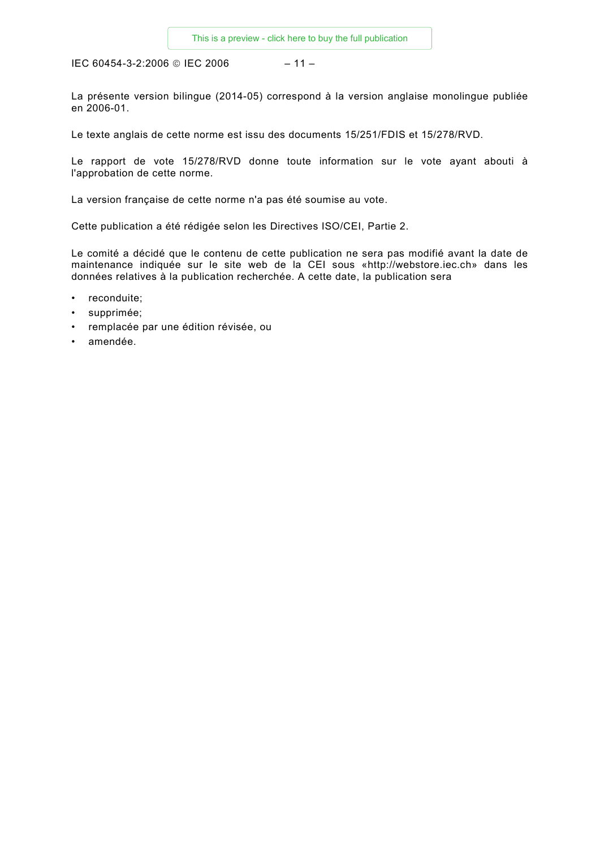IEC 60454-3-2:2006 © IEC 2006 – 11 –

La présente version bilingue (2014-05) correspond à la version anglaise monolingue publiée en 2006-01.

Le texte anglais de cette norme est issu des documents 15/251/FDIS et 15/278/RVD.

Le rapport de vote 15/278/RVD donne toute information sur le vote ayant abouti à l'approbation de cette norme.

La version française de cette norme n'a pas été soumise au vote.

Cette publication a été rédigée selon les Directives ISO/CEI, Partie 2.

Le comité a décidé que le contenu de cette publication ne sera pas modifié avant la date de maintenance indiquée sur le site web de la CEI sous «http://webstore.iec.ch» dans les données relatives à la publication recherchée. A cette date, la publication sera

- reconduite;
- supprimée;
- remplacée par une édition révisée, ou
- amendée.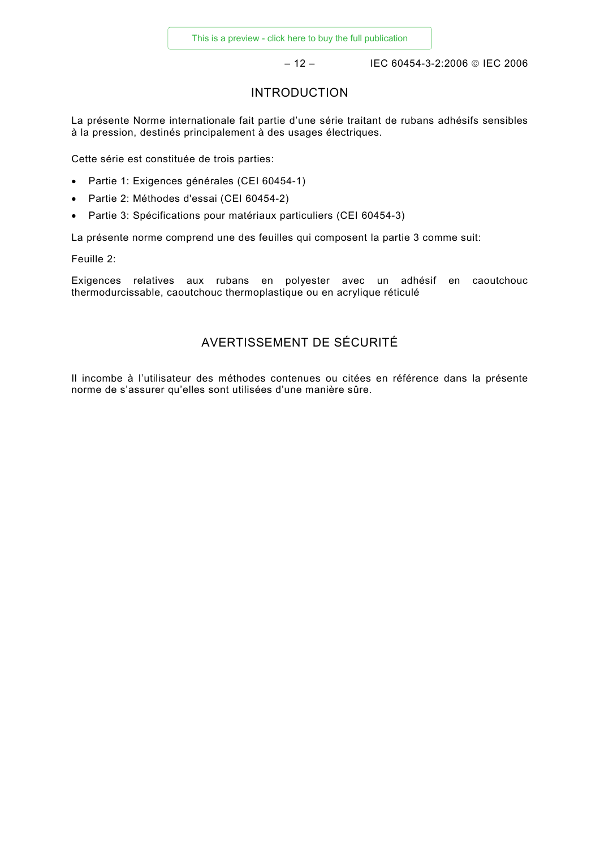– 12 – IEC 60454-3-2:2006 IEC 2006

#### INTRODUCTION

La présente Norme internationale fait partie d'une série traitant de rubans adhésifs sensibles à la pression, destinés principalement à des usages électriques.

Cette série est constituée de trois parties:

- Partie 1: Exigences générales (CEI 60454-1)
- Partie 2: Méthodes d'essai (CEI 60454-2)
- Partie 3: Spécifications pour matériaux particuliers (CEI 60454-3)

La présente norme comprend une des feuilles qui composent la partie 3 comme suit:

Feuille 2:

Exigences relatives aux rubans en polyester avec un adhésif en caoutchouc thermodurcissable, caoutchouc thermoplastique ou en acrylique réticulé

### AVERTISSEMENT DE SÉCURITÉ

Il incombe à l'utilisateur des méthodes contenues ou citées en référence dans la présente norme de s'assurer qu'elles sont utilisées d'une manière sûre.